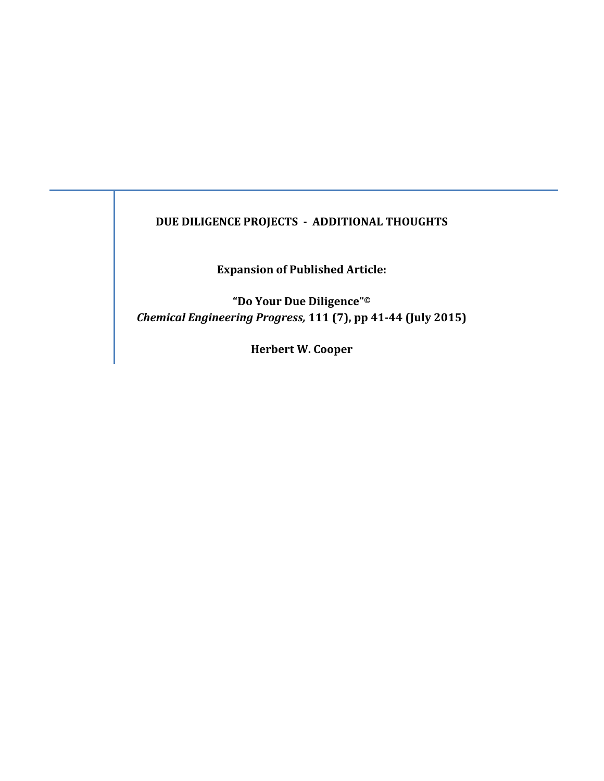# **DUE DILIGENCE PROJECTS ‐ ADDITIONAL THOUGHTS**

**Expansion of Published Article:**

**"Do Your Due Diligence"©** *Chemical Engineering Progress,* **111 (7), pp 41‐44 (July 2015)**

**Herbert W. Cooper**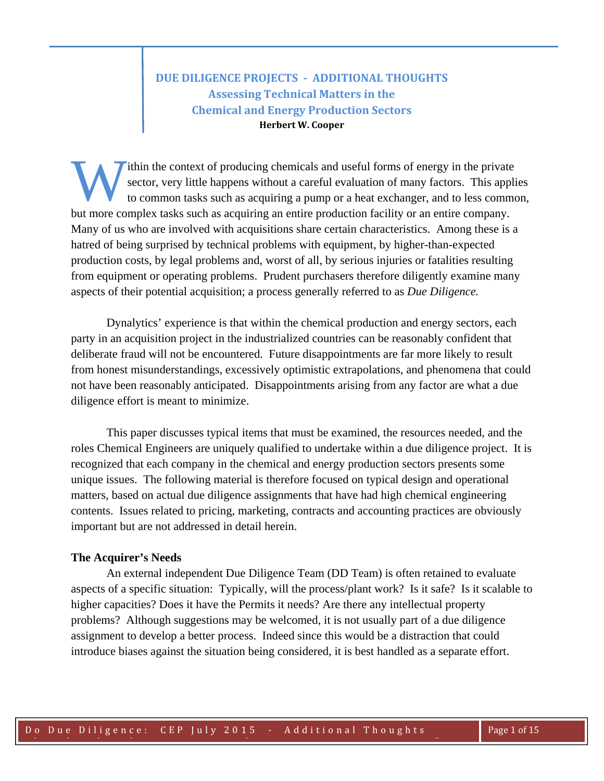# **DUE DILIGENCE PROJECTS ‐ ADDITIONAL THOUGHTS Assessing Technical Matters in the Chemical and Energy Production Sectors Herbert W. Cooper**

ithin the context of producing chemicals and useful forms of energy in the private sector, very little happens without a careful evaluation of many factors. This applies to common tasks such as acquiring a pump or a heat exchanger, and to less common, but more complex tasks such as acquiring an entire production facility or an entire company. Many of us who are involved with acquisitions share certain characteristics. Among these is a hatred of being surprised by technical problems with equipment, by higher-than-expected production costs, by legal problems and, worst of all, by serious injuries or fatalities resulting from equipment or operating problems. Prudent purchasers therefore diligently examine many aspects of their potential acquisition; a process generally referred to as *Due Diligence.* W

Dynalytics' experience is that within the chemical production and energy sectors, each party in an acquisition project in the industrialized countries can be reasonably confident that deliberate fraud will not be encountered. Future disappointments are far more likely to result from honest misunderstandings, excessively optimistic extrapolations, and phenomena that could not have been reasonably anticipated. Disappointments arising from any factor are what a due diligence effort is meant to minimize.

This paper discusses typical items that must be examined, the resources needed, and the roles Chemical Engineers are uniquely qualified to undertake within a due diligence project. It is recognized that each company in the chemical and energy production sectors presents some unique issues. The following material is therefore focused on typical design and operational matters, based on actual due diligence assignments that have had high chemical engineering contents. Issues related to pricing, marketing, contracts and accounting practices are obviously important but are not addressed in detail herein.

### **The Acquirer's Needs**

 An external independent Due Diligence Team (DD Team) is often retained to evaluate aspects of a specific situation: Typically, will the process/plant work? Is it safe? Is it scalable to higher capacities? Does it have the Permits it needs? Are there any intellectual property problems? Although suggestions may be welcomed, it is not usually part of a due diligence assignment to develop a better process. Indeed since this would be a distraction that could introduce biases against the situation being considered, it is best handled as a separate effort.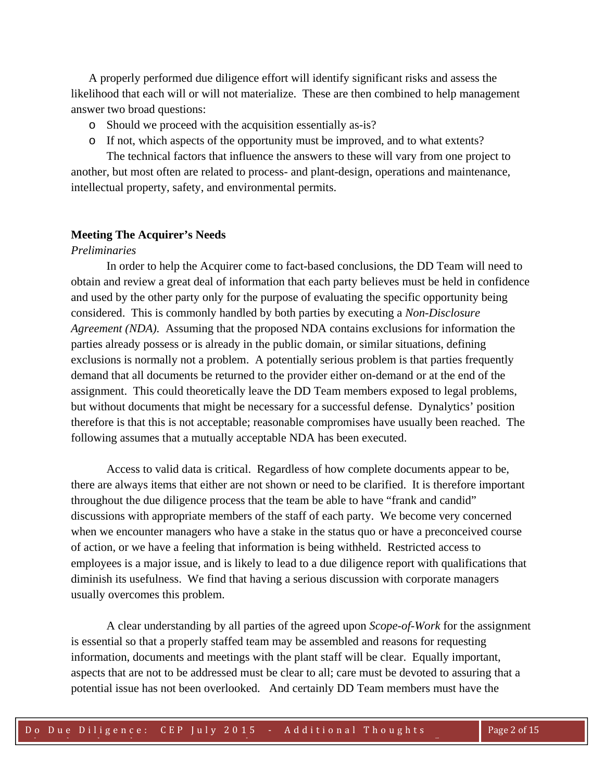A properly performed due diligence effort will identify significant risks and assess the likelihood that each will or will not materialize. These are then combined to help management answer two broad questions:

- o Should we proceed with the acquisition essentially as-is?
- o If not, which aspects of the opportunity must be improved, and to what extents?

 The technical factors that influence the answers to these will vary from one project to another, but most often are related to process- and plant-design, operations and maintenance, intellectual property, safety, and environmental permits.

## **Meeting The Acquirer's Needs**

## *Preliminaries*

 In order to help the Acquirer come to fact-based conclusions, the DD Team will need to obtain and review a great deal of information that each party believes must be held in confidence and used by the other party only for the purpose of evaluating the specific opportunity being considered. This is commonly handled by both parties by executing a *Non-Disclosure Agreement (NDA).* Assuming that the proposed NDA contains exclusions for information the parties already possess or is already in the public domain, or similar situations, defining exclusions is normally not a problem. A potentially serious problem is that parties frequently demand that all documents be returned to the provider either on-demand or at the end of the assignment. This could theoretically leave the DD Team members exposed to legal problems, but without documents that might be necessary for a successful defense. Dynalytics' position therefore is that this is not acceptable; reasonable compromises have usually been reached. The following assumes that a mutually acceptable NDA has been executed.

 Access to valid data is critical. Regardless of how complete documents appear to be, there are always items that either are not shown or need to be clarified. It is therefore important throughout the due diligence process that the team be able to have "frank and candid" discussions with appropriate members of the staff of each party. We become very concerned when we encounter managers who have a stake in the status quo or have a preconceived course of action, or we have a feeling that information is being withheld. Restricted access to employees is a major issue, and is likely to lead to a due diligence report with qualifications that diminish its usefulness. We find that having a serious discussion with corporate managers usually overcomes this problem.

A clear understanding by all parties of the agreed upon *Scope-of-Work* for the assignment is essential so that a properly staffed team may be assembled and reasons for requesting information, documents and meetings with the plant staff will be clear. Equally important, aspects that are not to be addressed must be clear to all; care must be devoted to assuring that a potential issue has not been overlooked. And certainly DD Team members must have the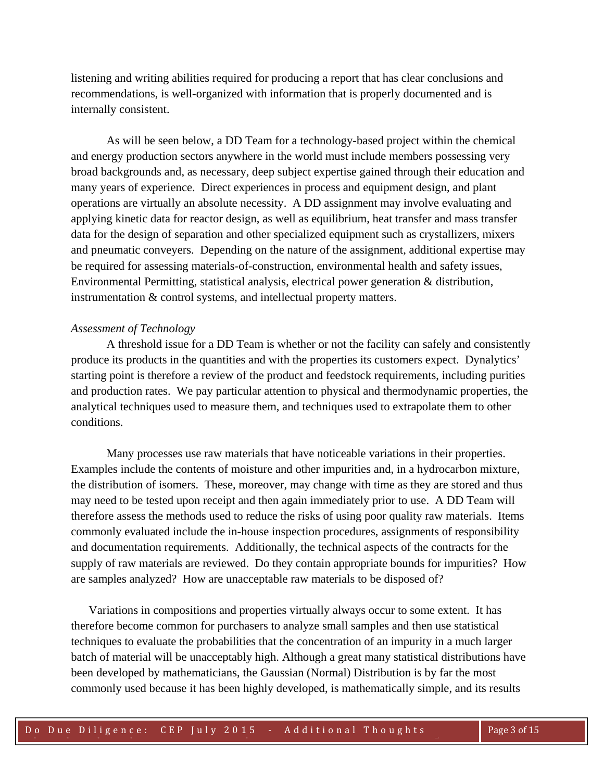listening and writing abilities required for producing a report that has clear conclusions and recommendations, is well-organized with information that is properly documented and is internally consistent.

As will be seen below, a DD Team for a technology-based project within the chemical and energy production sectors anywhere in the world must include members possessing very broad backgrounds and, as necessary, deep subject expertise gained through their education and many years of experience. Direct experiences in process and equipment design, and plant operations are virtually an absolute necessity. A DD assignment may involve evaluating and applying kinetic data for reactor design, as well as equilibrium, heat transfer and mass transfer data for the design of separation and other specialized equipment such as crystallizers, mixers and pneumatic conveyers. Depending on the nature of the assignment, additional expertise may be required for assessing materials-of-construction, environmental health and safety issues, Environmental Permitting, statistical analysis, electrical power generation & distribution, instrumentation & control systems, and intellectual property matters.

### *Assessment of Technology*

 A threshold issue for a DD Team is whether or not the facility can safely and consistently produce its products in the quantities and with the properties its customers expect. Dynalytics' starting point is therefore a review of the product and feedstock requirements, including purities and production rates. We pay particular attention to physical and thermodynamic properties, the analytical techniques used to measure them, and techniques used to extrapolate them to other conditions.

Many processes use raw materials that have noticeable variations in their properties. Examples include the contents of moisture and other impurities and, in a hydrocarbon mixture, the distribution of isomers. These, moreover, may change with time as they are stored and thus may need to be tested upon receipt and then again immediately prior to use. A DD Team will therefore assess the methods used to reduce the risks of using poor quality raw materials. Items commonly evaluated include the in-house inspection procedures, assignments of responsibility and documentation requirements. Additionally, the technical aspects of the contracts for the supply of raw materials are reviewed. Do they contain appropriate bounds for impurities? How are samples analyzed? How are unacceptable raw materials to be disposed of?

Variations in compositions and properties virtually always occur to some extent. It has therefore become common for purchasers to analyze small samples and then use statistical techniques to evaluate the probabilities that the concentration of an impurity in a much larger batch of material will be unacceptably high. Although a great many statistical distributions have been developed by mathematicians, the Gaussian (Normal) Distribution is by far the most commonly used because it has been highly developed, is mathematically simple, and its results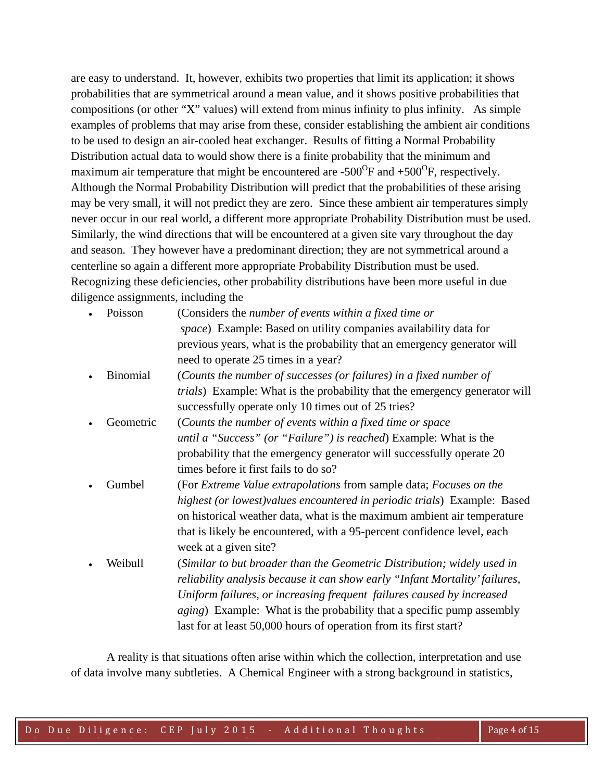are easy to understand. It, however, exhibits two properties that limit its application; it shows probabilities that are symmetrical around a mean value, and it shows positive probabilities that compositions (or other "X" values) will extend from minus infinity to plus infinity. As simple examples of problems that may arise from these, consider establishing the ambient air conditions to be used to design an air-cooled heat exchanger. Results of fitting a Normal Probability Distribution actual data to would show there is a finite probability that the minimum and maximum air temperature that might be encountered are  $-500^{\circ}$ F and  $+500^{\circ}$ F, respectively. Although the Normal Probability Distribution will predict that the probabilities of these arising may be very small, it will not predict they are zero. Since these ambient air temperatures simply never occur in our real world, a different more appropriate Probability Distribution must be used. Similarly, the wind directions that will be encountered at a given site vary throughout the day and season. They however have a predominant direction; they are not symmetrical around a centerline so again a different more appropriate Probability Distribution must be used. Recognizing these deficiencies, other probability distributions have been more useful in due diligence assignments, including the

| Poisson         | (Considers the number of events within a fixed time or                             |
|-----------------|------------------------------------------------------------------------------------|
|                 | space) Example: Based on utility companies availability data for                   |
|                 | previous years, what is the probability that an emergency generator will           |
|                 | need to operate 25 times in a year?                                                |
| <b>Binomial</b> | (Counts the number of successes (or failures) in a fixed number of                 |
|                 | <i>trials</i> ) Example: What is the probability that the emergency generator will |
|                 | successfully operate only 10 times out of 25 tries?                                |
| Geometric       | (Counts the number of events within a fixed time or space                          |
|                 | <i>until a "Success" (or "Failure") is reached</i> ) Example: What is the          |
|                 | probability that the emergency generator will successfully operate 20              |
|                 | times before it first fails to do so?                                              |
| Gumbel          | (For Extreme Value extrapolations from sample data; Focuses on the                 |
|                 | highest (or lowest) values encountered in periodic trials) Example: Based          |
|                 | on historical weather data, what is the maximum ambient air temperature            |
|                 | that is likely be encountered, with a 95-percent confidence level, each            |
|                 | week at a given site?                                                              |
| Weibull         | (Similar to but broader than the Geometric Distribution; widely used in            |
|                 | reliability analysis because it can show early "Infant Mortality' failures,        |
|                 | Uniform failures, or increasing frequent failures caused by increased              |
|                 | <i>aging</i> ) Example: What is the probability that a specific pump assembly      |
|                 | last for at least 50,000 hours of operation from its first start?                  |
|                 |                                                                                    |

 A reality is that situations often arise within which the collection, interpretation and use of data involve many subtleties. A Chemical Engineer with a strong background in statistics,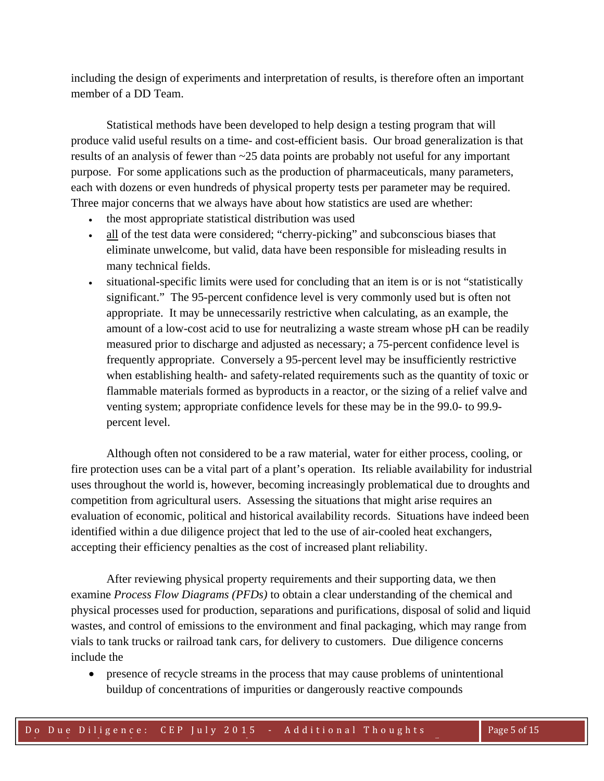including the design of experiments and interpretation of results, is therefore often an important member of a DD Team.

 Statistical methods have been developed to help design a testing program that will produce valid useful results on a time- and cost-efficient basis. Our broad generalization is that results of an analysis of fewer than ~25 data points are probably not useful for any important purpose. For some applications such as the production of pharmaceuticals, many parameters, each with dozens or even hundreds of physical property tests per parameter may be required. Three major concerns that we always have about how statistics are used are whether:

- the most appropriate statistical distribution was used
- all of the test data were considered; "cherry-picking" and subconscious biases that eliminate unwelcome, but valid, data have been responsible for misleading results in many technical fields.
- situational-specific limits were used for concluding that an item is or is not "statistically significant." The 95-percent confidence level is very commonly used but is often not appropriate. It may be unnecessarily restrictive when calculating, as an example, the amount of a low-cost acid to use for neutralizing a waste stream whose pH can be readily measured prior to discharge and adjusted as necessary; a 75-percent confidence level is frequently appropriate. Conversely a 95-percent level may be insufficiently restrictive when establishing health- and safety-related requirements such as the quantity of toxic or flammable materials formed as byproducts in a reactor, or the sizing of a relief valve and venting system; appropriate confidence levels for these may be in the 99.0- to 99.9 percent level.

 Although often not considered to be a raw material, water for either process, cooling, or fire protection uses can be a vital part of a plant's operation. Its reliable availability for industrial uses throughout the world is, however, becoming increasingly problematical due to droughts and competition from agricultural users. Assessing the situations that might arise requires an evaluation of economic, political and historical availability records. Situations have indeed been identified within a due diligence project that led to the use of air-cooled heat exchangers, accepting their efficiency penalties as the cost of increased plant reliability.

 After reviewing physical property requirements and their supporting data, we then examine *Process Flow Diagrams (PFDs)* to obtain a clear understanding of the chemical and physical processes used for production, separations and purifications, disposal of solid and liquid wastes, and control of emissions to the environment and final packaging, which may range from vials to tank trucks or railroad tank cars, for delivery to customers. Due diligence concerns include the

 presence of recycle streams in the process that may cause problems of unintentional buildup of concentrations of impurities or dangerously reactive compounds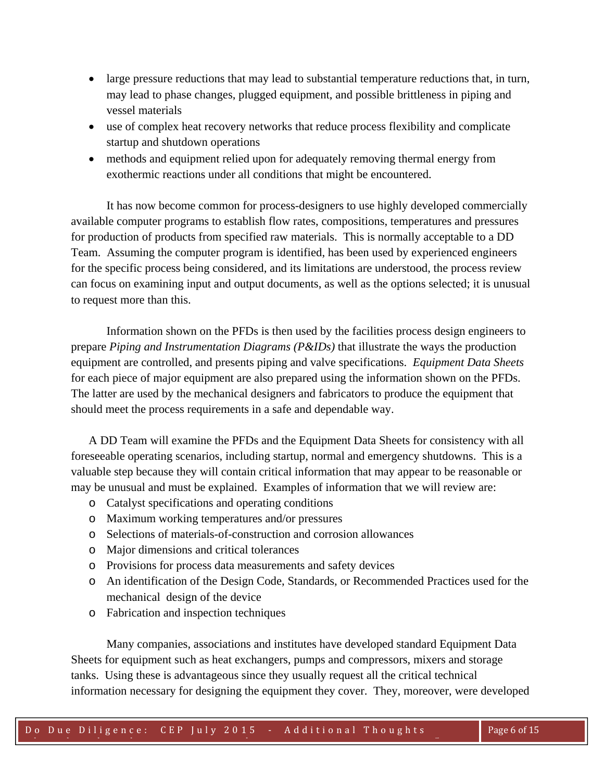- large pressure reductions that may lead to substantial temperature reductions that, in turn, may lead to phase changes, plugged equipment, and possible brittleness in piping and vessel materials
- use of complex heat recovery networks that reduce process flexibility and complicate startup and shutdown operations
- methods and equipment relied upon for adequately removing thermal energy from exothermic reactions under all conditions that might be encountered.

 It has now become common for process-designers to use highly developed commercially available computer programs to establish flow rates, compositions, temperatures and pressures for production of products from specified raw materials. This is normally acceptable to a DD Team. Assuming the computer program is identified, has been used by experienced engineers for the specific process being considered, and its limitations are understood, the process review can focus on examining input and output documents, as well as the options selected; it is unusual to request more than this.

 Information shown on the PFDs is then used by the facilities process design engineers to prepare *Piping and Instrumentation Diagrams (P&IDs)* that illustrate the ways the production equipment are controlled, and presents piping and valve specifications. *Equipment Data Sheets* for each piece of major equipment are also prepared using the information shown on the PFDs. The latter are used by the mechanical designers and fabricators to produce the equipment that should meet the process requirements in a safe and dependable way.

A DD Team will examine the PFDs and the Equipment Data Sheets for consistency with all foreseeable operating scenarios, including startup, normal and emergency shutdowns. This is a valuable step because they will contain critical information that may appear to be reasonable or may be unusual and must be explained. Examples of information that we will review are:

- o Catalyst specifications and operating conditions
- o Maximum working temperatures and/or pressures
- o Selections of materials-of-construction and corrosion allowances
- o Major dimensions and critical tolerances
- o Provisions for process data measurements and safety devices
- o An identification of the Design Code, Standards, or Recommended Practices used for the mechanical design of the device
- o Fabrication and inspection techniques

 Many companies, associations and institutes have developed standard Equipment Data Sheets for equipment such as heat exchangers, pumps and compressors, mixers and storage tanks. Using these is advantageous since they usually request all the critical technical information necessary for designing the equipment they cover. They, moreover, were developed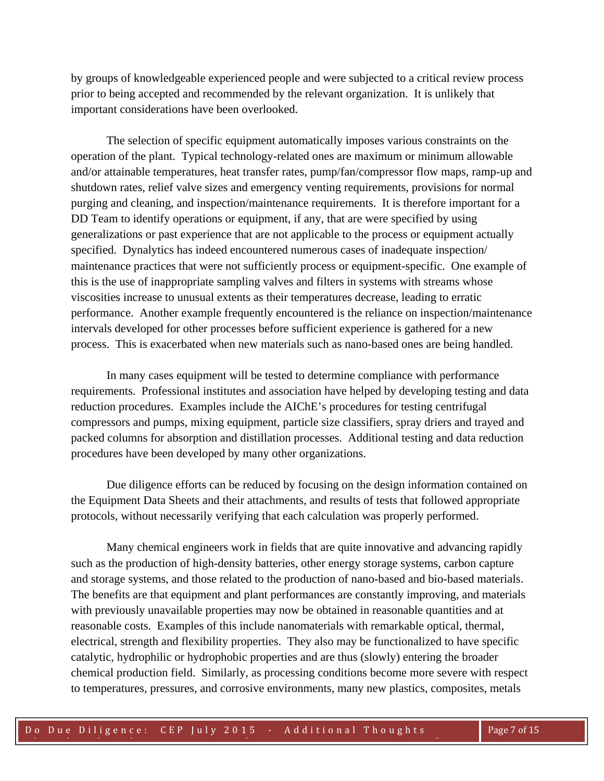by groups of knowledgeable experienced people and were subjected to a critical review process prior to being accepted and recommended by the relevant organization. It is unlikely that important considerations have been overlooked.

 The selection of specific equipment automatically imposes various constraints on the operation of the plant. Typical technology-related ones are maximum or minimum allowable and/or attainable temperatures, heat transfer rates, pump/fan/compressor flow maps, ramp-up and shutdown rates, relief valve sizes and emergency venting requirements, provisions for normal purging and cleaning, and inspection/maintenance requirements. It is therefore important for a DD Team to identify operations or equipment, if any, that are were specified by using generalizations or past experience that are not applicable to the process or equipment actually specified. Dynalytics has indeed encountered numerous cases of inadequate inspection/ maintenance practices that were not sufficiently process or equipment-specific. One example of this is the use of inappropriate sampling valves and filters in systems with streams whose viscosities increase to unusual extents as their temperatures decrease, leading to erratic performance. Another example frequently encountered is the reliance on inspection/maintenance intervals developed for other processes before sufficient experience is gathered for a new process. This is exacerbated when new materials such as nano-based ones are being handled.

 In many cases equipment will be tested to determine compliance with performance requirements. Professional institutes and association have helped by developing testing and data reduction procedures. Examples include the AIChE's procedures for testing centrifugal compressors and pumps, mixing equipment, particle size classifiers, spray driers and trayed and packed columns for absorption and distillation processes. Additional testing and data reduction procedures have been developed by many other organizations.

 Due diligence efforts can be reduced by focusing on the design information contained on the Equipment Data Sheets and their attachments, and results of tests that followed appropriate protocols, without necessarily verifying that each calculation was properly performed.

 Many chemical engineers work in fields that are quite innovative and advancing rapidly such as the production of high-density batteries, other energy storage systems, carbon capture and storage systems, and those related to the production of nano-based and bio-based materials. The benefits are that equipment and plant performances are constantly improving, and materials with previously unavailable properties may now be obtained in reasonable quantities and at reasonable costs. Examples of this include nanomaterials with remarkable optical, thermal, electrical, strength and flexibility properties. They also may be functionalized to have specific catalytic, hydrophilic or hydrophobic properties and are thus (slowly) entering the broader chemical production field. Similarly, as processing conditions become more severe with respect to temperatures, pressures, and corrosive environments, many new plastics, composites, metals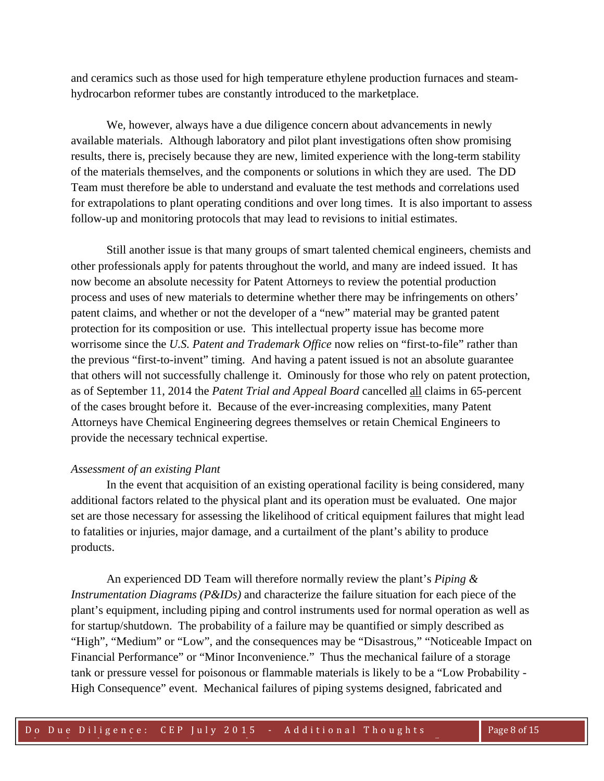and ceramics such as those used for high temperature ethylene production furnaces and steamhydrocarbon reformer tubes are constantly introduced to the marketplace.

 We, however, always have a due diligence concern about advancements in newly available materials. Although laboratory and pilot plant investigations often show promising results, there is, precisely because they are new, limited experience with the long-term stability of the materials themselves, and the components or solutions in which they are used. The DD Team must therefore be able to understand and evaluate the test methods and correlations used for extrapolations to plant operating conditions and over long times. It is also important to assess follow-up and monitoring protocols that may lead to revisions to initial estimates.

 Still another issue is that many groups of smart talented chemical engineers, chemists and other professionals apply for patents throughout the world, and many are indeed issued. It has now become an absolute necessity for Patent Attorneys to review the potential production process and uses of new materials to determine whether there may be infringements on others' patent claims, and whether or not the developer of a "new" material may be granted patent protection for its composition or use. This intellectual property issue has become more worrisome since the *U.S. Patent and Trademark Office* now relies on "first-to-file" rather than the previous "first-to-invent" timing. And having a patent issued is not an absolute guarantee that others will not successfully challenge it. Ominously for those who rely on patent protection, as of September 11, 2014 the *Patent Trial and Appeal Board* cancelled all claims in 65-percent of the cases brought before it. Because of the ever-increasing complexities, many Patent Attorneys have Chemical Engineering degrees themselves or retain Chemical Engineers to provide the necessary technical expertise.

#### *Assessment of an existing Plant*

 In the event that acquisition of an existing operational facility is being considered, many additional factors related to the physical plant and its operation must be evaluated. One major set are those necessary for assessing the likelihood of critical equipment failures that might lead to fatalities or injuries, major damage, and a curtailment of the plant's ability to produce products.

 An experienced DD Team will therefore normally review the plant's *Piping & Instrumentation Diagrams (P&IDs)* and characterize the failure situation for each piece of the plant's equipment, including piping and control instruments used for normal operation as well as for startup/shutdown. The probability of a failure may be quantified or simply described as "High", "Medium" or "Low", and the consequences may be "Disastrous," "Noticeable Impact on Financial Performance" or "Minor Inconvenience." Thus the mechanical failure of a storage tank or pressure vessel for poisonous or flammable materials is likely to be a "Low Probability - High Consequence" event. Mechanical failures of piping systems designed, fabricated and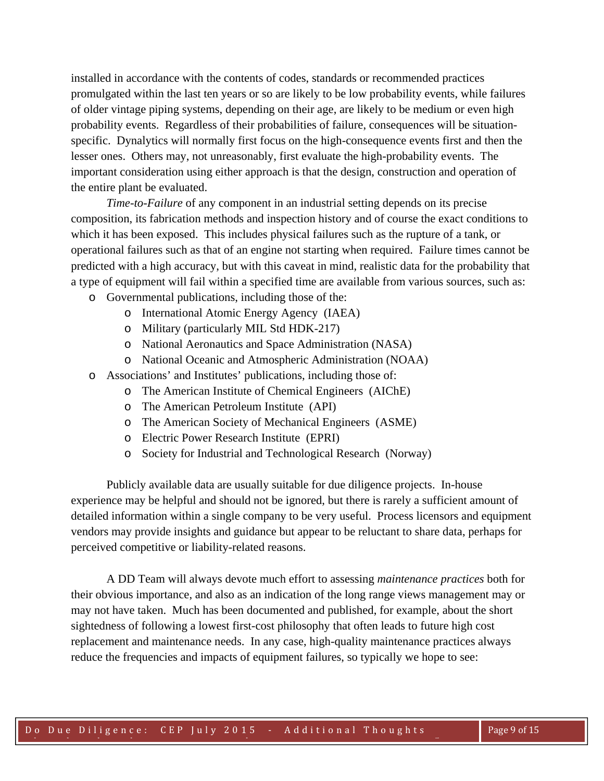installed in accordance with the contents of codes, standards or recommended practices promulgated within the last ten years or so are likely to be low probability events, while failures of older vintage piping systems, depending on their age, are likely to be medium or even high probability events. Regardless of their probabilities of failure, consequences will be situationspecific. Dynalytics will normally first focus on the high-consequence events first and then the lesser ones. Others may, not unreasonably, first evaluate the high-probability events. The important consideration using either approach is that the design, construction and operation of the entire plant be evaluated.

 *Time-to-Failure* of any component in an industrial setting depends on its precise composition, its fabrication methods and inspection history and of course the exact conditions to which it has been exposed. This includes physical failures such as the rupture of a tank, or operational failures such as that of an engine not starting when required. Failure times cannot be predicted with a high accuracy, but with this caveat in mind, realistic data for the probability that a type of equipment will fail within a specified time are available from various sources, such as:

- o Governmental publications, including those of the:
	- o International Atomic Energy Agency (IAEA)
	- o Military (particularly MIL Std HDK-217)
	- o National Aeronautics and Space Administration (NASA)
	- o National Oceanic and Atmospheric Administration (NOAA)
- o Associations' and Institutes' publications, including those of:
	- o The American Institute of Chemical Engineers (AIChE)
	- o The American Petroleum Institute (API)
	- o The American Society of Mechanical Engineers (ASME)
	- o Electric Power Research Institute (EPRI)
	- o Society for Industrial and Technological Research (Norway)

 Publicly available data are usually suitable for due diligence projects. In-house experience may be helpful and should not be ignored, but there is rarely a sufficient amount of detailed information within a single company to be very useful. Process licensors and equipment vendors may provide insights and guidance but appear to be reluctant to share data, perhaps for perceived competitive or liability-related reasons.

A DD Team will always devote much effort to assessing *maintenance practices* both for their obvious importance, and also as an indication of the long range views management may or may not have taken. Much has been documented and published, for example, about the short sightedness of following a lowest first-cost philosophy that often leads to future high cost replacement and maintenance needs. In any case, high-quality maintenance practices always reduce the frequencies and impacts of equipment failures, so typically we hope to see: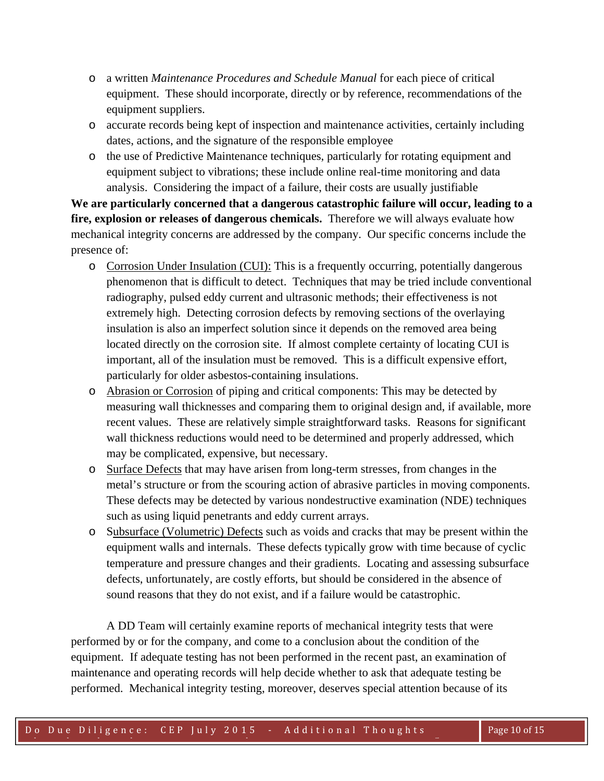- o a written *Maintenance Procedures and Schedule Manual* for each piece of critical equipment. These should incorporate, directly or by reference, recommendations of the equipment suppliers.
- o accurate records being kept of inspection and maintenance activities, certainly including dates, actions, and the signature of the responsible employee
- o the use of Predictive Maintenance techniques, particularly for rotating equipment and equipment subject to vibrations; these include online real-time monitoring and data analysis. Considering the impact of a failure, their costs are usually justifiable

**We are particularly concerned that a dangerous catastrophic failure will occur, leading to a fire, explosion or releases of dangerous chemicals.** Therefore we will always evaluate how mechanical integrity concerns are addressed by the company. Our specific concerns include the presence of:

- o Corrosion Under Insulation (CUI): This is a frequently occurring, potentially dangerous phenomenon that is difficult to detect. Techniques that may be tried include conventional radiography, pulsed eddy current and ultrasonic methods; their effectiveness is not extremely high. Detecting corrosion defects by removing sections of the overlaying insulation is also an imperfect solution since it depends on the removed area being located directly on the corrosion site. If almost complete certainty of locating CUI is important, all of the insulation must be removed. This is a difficult expensive effort, particularly for older asbestos-containing insulations.
- o Abrasion or Corrosion of piping and critical components: This may be detected by measuring wall thicknesses and comparing them to original design and, if available, more recent values. These are relatively simple straightforward tasks. Reasons for significant wall thickness reductions would need to be determined and properly addressed, which may be complicated, expensive, but necessary.
- o Surface Defects that may have arisen from long-term stresses, from changes in the metal's structure or from the scouring action of abrasive particles in moving components. These defects may be detected by various nondestructive examination (NDE) techniques such as using liquid penetrants and eddy current arrays.
- o Subsurface (Volumetric) Defects such as voids and cracks that may be present within the equipment walls and internals. These defects typically grow with time because of cyclic temperature and pressure changes and their gradients. Locating and assessing subsurface defects, unfortunately, are costly efforts, but should be considered in the absence of sound reasons that they do not exist, and if a failure would be catastrophic.

 A DD Team will certainly examine reports of mechanical integrity tests that were performed by or for the company, and come to a conclusion about the condition of the equipment. If adequate testing has not been performed in the recent past, an examination of maintenance and operating records will help decide whether to ask that adequate testing be performed. Mechanical integrity testing, moreover, deserves special attention because of its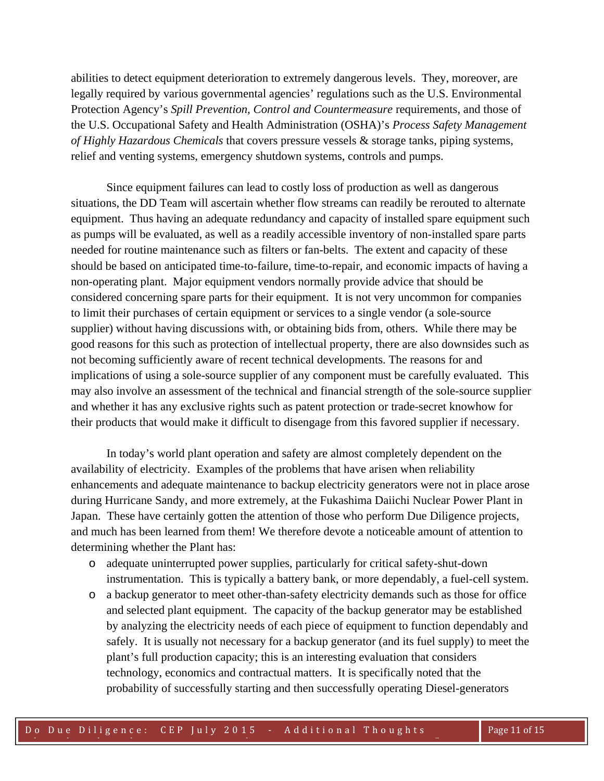abilities to detect equipment deterioration to extremely dangerous levels. They, moreover, are legally required by various governmental agencies' regulations such as the U.S. Environmental Protection Agency's *Spill Prevention, Control and Countermeasure* requirements, and those of the U.S. Occupational Safety and Health Administration (OSHA)'s *Process Safety Management of Highly Hazardous Chemicals* that covers pressure vessels & storage tanks, piping systems, relief and venting systems, emergency shutdown systems, controls and pumps.

 Since equipment failures can lead to costly loss of production as well as dangerous situations, the DD Team will ascertain whether flow streams can readily be rerouted to alternate equipment. Thus having an adequate redundancy and capacity of installed spare equipment such as pumps will be evaluated, as well as a readily accessible inventory of non-installed spare parts needed for routine maintenance such as filters or fan-belts. The extent and capacity of these should be based on anticipated time-to-failure, time-to-repair, and economic impacts of having a non-operating plant. Major equipment vendors normally provide advice that should be considered concerning spare parts for their equipment. It is not very uncommon for companies to limit their purchases of certain equipment or services to a single vendor (a sole-source supplier) without having discussions with, or obtaining bids from, others. While there may be good reasons for this such as protection of intellectual property, there are also downsides such as not becoming sufficiently aware of recent technical developments. The reasons for and implications of using a sole-source supplier of any component must be carefully evaluated. This may also involve an assessment of the technical and financial strength of the sole-source supplier and whether it has any exclusive rights such as patent protection or trade-secret knowhow for their products that would make it difficult to disengage from this favored supplier if necessary.

 In today's world plant operation and safety are almost completely dependent on the availability of electricity. Examples of the problems that have arisen when reliability enhancements and adequate maintenance to backup electricity generators were not in place arose during Hurricane Sandy, and more extremely, at the Fukashima Daiichi Nuclear Power Plant in Japan. These have certainly gotten the attention of those who perform Due Diligence projects, and much has been learned from them! We therefore devote a noticeable amount of attention to determining whether the Plant has:

- o adequate uninterrupted power supplies, particularly for critical safety-shut-down instrumentation. This is typically a battery bank, or more dependably, a fuel-cell system.
- o a backup generator to meet other-than-safety electricity demands such as those for office and selected plant equipment. The capacity of the backup generator may be established by analyzing the electricity needs of each piece of equipment to function dependably and safely. It is usually not necessary for a backup generator (and its fuel supply) to meet the plant's full production capacity; this is an interesting evaluation that considers technology, economics and contractual matters. It is specifically noted that the probability of successfully starting and then successfully operating Diesel-generators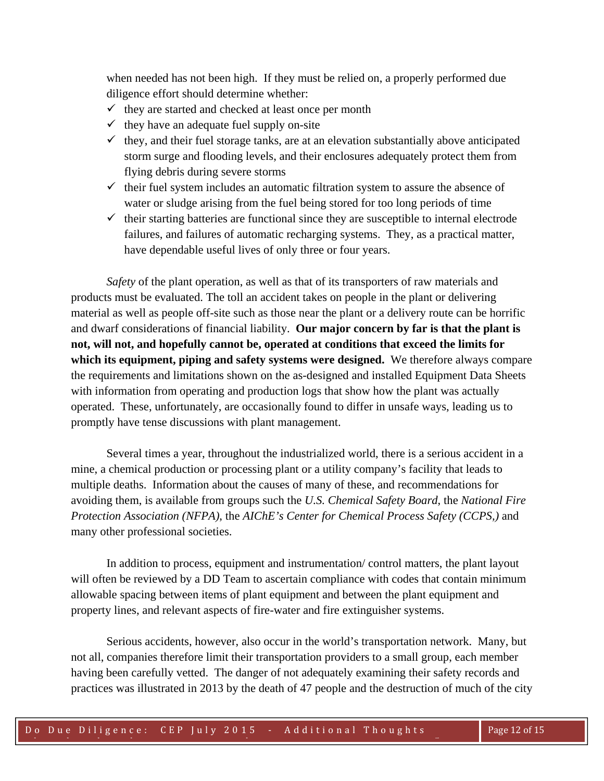when needed has not been high. If they must be relied on, a properly performed due diligence effort should determine whether:

- $\checkmark$  they are started and checked at least once per month
- $\checkmark$  they have an adequate fuel supply on-site
- $\checkmark$  they, and their fuel storage tanks, are at an elevation substantially above anticipated storm surge and flooding levels, and their enclosures adequately protect them from flying debris during severe storms
- $\checkmark$  their fuel system includes an automatic filtration system to assure the absence of water or sludge arising from the fuel being stored for too long periods of time
- $\checkmark$  their starting batteries are functional since they are susceptible to internal electrode failures, and failures of automatic recharging systems. They, as a practical matter, have dependable useful lives of only three or four years.

 *Safety* of the plant operation, as well as that of its transporters of raw materials and products must be evaluated. The toll an accident takes on people in the plant or delivering material as well as people off-site such as those near the plant or a delivery route can be horrific and dwarf considerations of financial liability. **Our major concern by far is that the plant is not, will not, and hopefully cannot be, operated at conditions that exceed the limits for which its equipment, piping and safety systems were designed.** We therefore always compare the requirements and limitations shown on the as-designed and installed Equipment Data Sheets with information from operating and production logs that show how the plant was actually operated. These, unfortunately, are occasionally found to differ in unsafe ways, leading us to promptly have tense discussions with plant management.

 Several times a year, throughout the industrialized world, there is a serious accident in a mine, a chemical production or processing plant or a utility company's facility that leads to multiple deaths. Information about the causes of many of these, and recommendations for avoiding them, is available from groups such the *U.S. Chemical Safety Board*, the *National Fire Protection Association (NFPA)*, the *AIChE's Center for Chemical Process Safety (CCPS,)* and many other professional societies.

 In addition to process, equipment and instrumentation/ control matters, the plant layout will often be reviewed by a DD Team to ascertain compliance with codes that contain minimum allowable spacing between items of plant equipment and between the plant equipment and property lines, and relevant aspects of fire-water and fire extinguisher systems.

 Serious accidents, however, also occur in the world's transportation network. Many, but not all, companies therefore limit their transportation providers to a small group, each member having been carefully vetted. The danger of not adequately examining their safety records and practices was illustrated in 2013 by the death of 47 people and the destruction of much of the city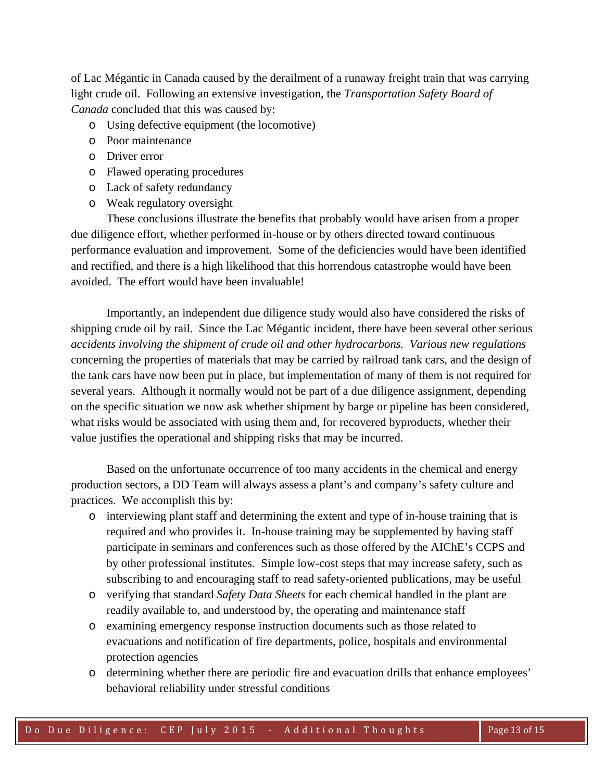of Lac Mégantic in Canada caused by the derailment of a runaway freight train that was carrying light crude oil. Following an extensive investigation, the *Transportation Safety Board of Canada* concluded that this was caused by:

- o Using defective equipment (the locomotive)
- o Poor maintenance
- o Driver error
- o Flawed operating procedures
- o Lack of safety redundancy
- o Weak regulatory oversight

 These conclusions illustrate the benefits that probably would have arisen from a proper due diligence effort, whether performed in-house or by others directed toward continuous performance evaluation and improvement. Some of the deficiencies would have been identified and rectified, and there is a high likelihood that this horrendous catastrophe would have been avoided. The effort would have been invaluable!

Importantly, an independent due diligence study would also have considered the risks of shipping crude oil by rail. Since the Lac Mégantic incident, there have been several other serious *accidents involving the shipment of crude oil and other hydrocarbons. Various new regulations* concerning the properties of materials that may be carried by railroad tank cars, and the design of the tank cars have now been put in place, but implementation of many of them is not required for several years. Although it normally would not be part of a due diligence assignment, depending on the specific situation we now ask whether shipment by barge or pipeline has been considered, what risks would be associated with using them and, for recovered byproducts, whether their value justifies the operational and shipping risks that may be incurred.

 Based on the unfortunate occurrence of too many accidents in the chemical and energy production sectors, a DD Team will always assess a plant's and company's safety culture and practices. We accomplish this by:

- o interviewing plant staff and determining the extent and type of in-house training that is required and who provides it. In-house training may be supplemented by having staff participate in seminars and conferences such as those offered by the AIChE's CCPS and by other professional institutes. Simple low-cost steps that may increase safety, such as subscribing to and encouraging staff to read safety-oriented publications, may be useful
- o verifying that standard *Safety Data Sheets* for each chemical handled in the plant are readily available to, and understood by, the operating and maintenance staff
- o examining emergency response instruction documents such as those related to evacuations and notification of fire departments, police, hospitals and environmental protection agencies
- o determining whether there are periodic fire and evacuation drills that enhance employees' behavioral reliability under stressful conditions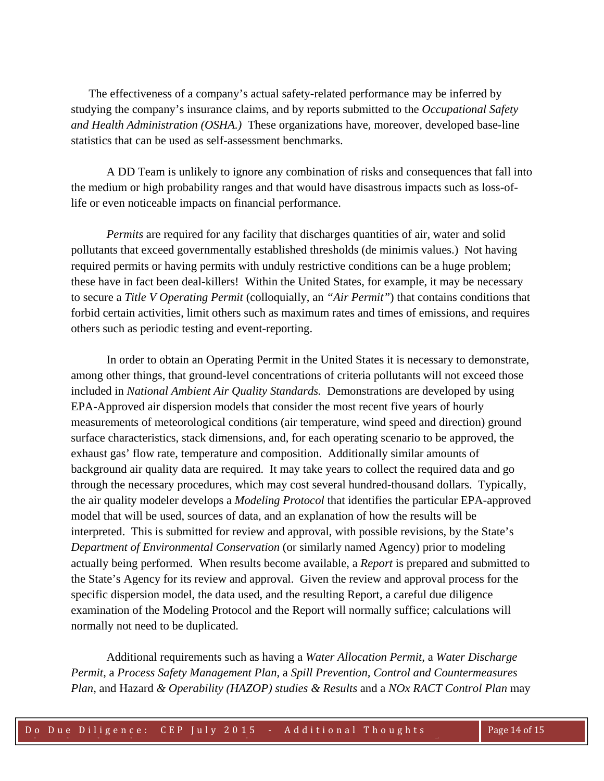The effectiveness of a company's actual safety-related performance may be inferred by studying the company's insurance claims, and by reports submitted to the *Occupational Safety and Health Administration (OSHA.)* These organizations have, moreover, developed base-line statistics that can be used as self-assessment benchmarks.

 A DD Team is unlikely to ignore any combination of risks and consequences that fall into the medium or high probability ranges and that would have disastrous impacts such as loss-oflife or even noticeable impacts on financial performance.

*Permits* are required for any facility that discharges quantities of air, water and solid pollutants that exceed governmentally established thresholds (de minimis values.) Not having required permits or having permits with unduly restrictive conditions can be a huge problem; these have in fact been deal-killers! Within the United States, for example, it may be necessary to secure a *Title V Operating Permit* (colloquially, an *"Air Permit"*) that contains conditions that forbid certain activities, limit others such as maximum rates and times of emissions, and requires others such as periodic testing and event-reporting.

 In order to obtain an Operating Permit in the United States it is necessary to demonstrate, among other things, that ground-level concentrations of criteria pollutants will not exceed those included in *National Ambient Air Quality Standards.* Demonstrations are developed by using EPA-Approved air dispersion models that consider the most recent five years of hourly measurements of meteorological conditions (air temperature, wind speed and direction) ground surface characteristics, stack dimensions, and, for each operating scenario to be approved, the exhaust gas' flow rate, temperature and composition. Additionally similar amounts of background air quality data are required. It may take years to collect the required data and go through the necessary procedures, which may cost several hundred-thousand dollars. Typically, the air quality modeler develops a *Modeling Protocol* that identifies the particular EPA-approved model that will be used, sources of data, and an explanation of how the results will be interpreted. This is submitted for review and approval, with possible revisions, by the State's *Department of Environmental Conservation* (or similarly named Agency) prior to modeling actually being performed. When results become available, a *Report* is prepared and submitted to the State's Agency for its review and approval. Given the review and approval process for the specific dispersion model, the data used, and the resulting Report, a careful due diligence examination of the Modeling Protocol and the Report will normally suffice; calculations will normally not need to be duplicated.

 Additional requirements such as having a *Water Allocation Permit*, a *Water Discharge Permit*, a *Process Safety Management Plan*, a *Spill Prevention, Control and Countermeasures Plan,* and Hazard *& Operability (HAZOP) studies & Results* and a *NOx RACT Control Plan* may